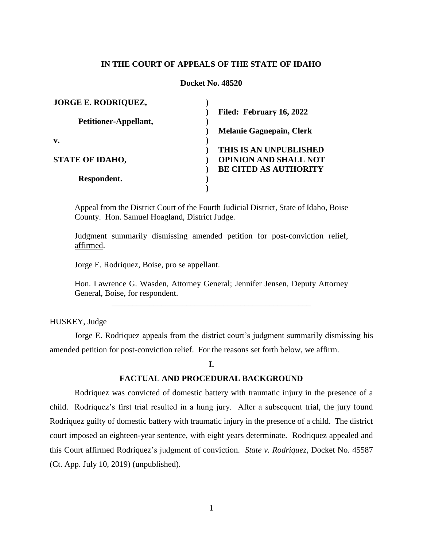### **IN THE COURT OF APPEALS OF THE STATE OF IDAHO**

### **Docket No. 48520**

| <b>JORGE E. RODRIQUEZ,</b> |                                 |
|----------------------------|---------------------------------|
|                            | Filed: February 16, 2022        |
| Petitioner-Appellant,      |                                 |
|                            | <b>Melanie Gagnepain, Clerk</b> |
| v.                         |                                 |
|                            | THIS IS AN UNPUBLISHED          |
| <b>STATE OF IDAHO,</b>     | <b>OPINION AND SHALL NOT</b>    |
|                            | <b>BE CITED AS AUTHORITY</b>    |
| Respondent.                |                                 |
|                            |                                 |

Appeal from the District Court of the Fourth Judicial District, State of Idaho, Boise County. Hon. Samuel Hoagland, District Judge.

Judgment summarily dismissing amended petition for post-conviction relief, affirmed.

Jorge E. Rodriquez, Boise, pro se appellant.

Hon. Lawrence G. Wasden, Attorney General; Jennifer Jensen, Deputy Attorney General, Boise, for respondent. \_\_\_\_\_\_\_\_\_\_\_\_\_\_\_\_\_\_\_\_\_\_\_\_\_\_\_\_\_\_\_\_\_\_\_\_\_\_\_\_\_\_\_\_\_\_\_\_

HUSKEY, Judge

Jorge E. Rodriquez appeals from the district court's judgment summarily dismissing his amended petition for post-conviction relief. For the reasons set forth below, we affirm.

#### **I.**

### **FACTUAL AND PROCEDURAL BACKGROUND**

Rodriquez was convicted of domestic battery with traumatic injury in the presence of a child. Rodriquez's first trial resulted in a hung jury. After a subsequent trial, the jury found Rodriquez guilty of domestic battery with traumatic injury in the presence of a child. The district court imposed an eighteen-year sentence, with eight years determinate. Rodriquez appealed and this Court affirmed Rodriquez's judgment of conviction. *State v. Rodriquez*, Docket No. 45587 (Ct. App. July 10, 2019) (unpublished).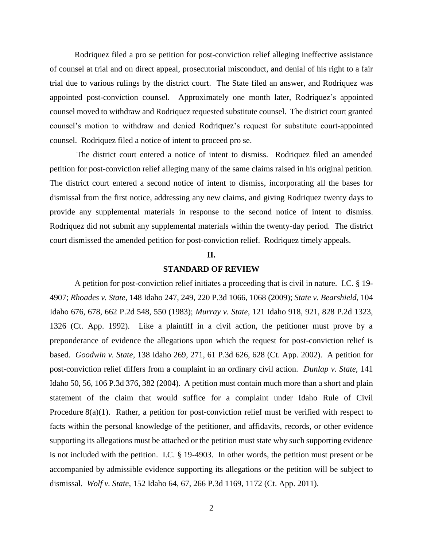Rodriquez filed a pro se petition for post-conviction relief alleging ineffective assistance of counsel at trial and on direct appeal, prosecutorial misconduct, and denial of his right to a fair trial due to various rulings by the district court. The State filed an answer, and Rodriquez was appointed post-conviction counsel. Approximately one month later, Rodriquez's appointed counsel moved to withdraw and Rodriquez requested substitute counsel. The district court granted counsel's motion to withdraw and denied Rodriquez's request for substitute court-appointed counsel. Rodriquez filed a notice of intent to proceed pro se.

The district court entered a notice of intent to dismiss. Rodriquez filed an amended petition for post-conviction relief alleging many of the same claims raised in his original petition. The district court entered a second notice of intent to dismiss, incorporating all the bases for dismissal from the first notice, addressing any new claims, and giving Rodriquez twenty days to provide any supplemental materials in response to the second notice of intent to dismiss. Rodriquez did not submit any supplemental materials within the twenty-day period. The district court dismissed the amended petition for post-conviction relief. Rodriquez timely appeals.

### **II.**

#### **STANDARD OF REVIEW**

A petition for post-conviction relief initiates a proceeding that is civil in nature.I.C. § 19- 4907; *Rhoades v. State*, 148 Idaho 247, 249, 220 P.3d 1066, 1068 (2009); *State v. Bearshield*, 104 Idaho 676, 678, 662 P.2d 548, 550 (1983); *Murray v. State*, 121 Idaho 918, 921, 828 P.2d 1323, 1326 (Ct. App. 1992). Like a plaintiff in a civil action, the petitioner must prove by a preponderance of evidence the allegations upon which the request for post-conviction relief is based. *Goodwin v. State*, 138 Idaho 269, 271, 61 P.3d 626, 628 (Ct. App. 2002). A petition for post-conviction relief differs from a complaint in an ordinary civil action. *Dunlap v. State*, 141 Idaho 50, 56, 106 P.3d 376, 382 (2004). A petition must contain much more than a short and plain statement of the claim that would suffice for a complaint under Idaho Rule of Civil Procedure 8(a)(1). Rather, a petition for post-conviction relief must be verified with respect to facts within the personal knowledge of the petitioner, and affidavits, records, or other evidence supporting its allegations must be attached or the petition must state why such supporting evidence is not included with the petition. I.C. § 19-4903. In other words, the petition must present or be accompanied by admissible evidence supporting its allegations or the petition will be subject to dismissal. *Wolf v. State*, 152 Idaho 64, 67, 266 P.3d 1169, 1172 (Ct. App. 2011).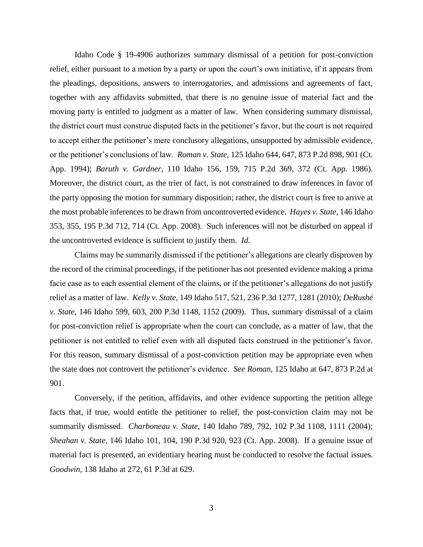Idaho Code § 19-4906 authorizes summary dismissal of a petition for post-conviction relief, either pursuant to a motion by a party or upon the court's own initiative, if it appears from the pleadings, depositions, answers to interrogatories, and admissions and agreements of fact, together with any affidavits submitted, that there is no genuine issue of material fact and the moving party is entitled to judgment as a matter of law. When considering summary dismissal, the district court must construe disputed facts in the petitioner's favor, but the court is not required to accept either the petitioner's mere conclusory allegations, unsupported by admissible evidence, or the petitioner's conclusions of law. *Roman v. State*, 125 Idaho 644, 647, 873 P.2d 898, 901 (Ct. App. 1994); *Baruth v. Gardner*, 110 Idaho 156, 159, 715 P.2d 369, 372 (Ct. App. 1986). Moreover, the district court, as the trier of fact, is not constrained to draw inferences in favor of the party opposing the motion for summary disposition; rather, the district court is free to arrive at the most probable inferences to be drawn from uncontroverted evidence. *Hayes v. State*, 146 Idaho 353, 355, 195 P.3d 712, 714 (Ct. App. 2008). Such inferences will not be disturbed on appeal if the uncontroverted evidence is sufficient to justify them. *Id.*

Claims may be summarily dismissed if the petitioner's allegations are clearly disproven by the record of the criminal proceedings, if the petitioner has not presented evidence making a prima facie case as to each essential element of the claims, or if the petitioner's allegations do not justify relief as a matter of law. *Kelly v. State*, 149 Idaho 517, 521, 236 P.3d 1277, 1281 (2010); *DeRushé v. State*, 146 Idaho 599, 603, 200 P.3d 1148, 1152 (2009). Thus, summary dismissal of a claim for post-conviction relief is appropriate when the court can conclude, as a matter of law, that the petitioner is not entitled to relief even with all disputed facts construed in the petitioner's favor. For this reason, summary dismissal of a post-conviction petition may be appropriate even when the state does not controvert the petitioner's evidence. *See Roman*, 125 Idaho at 647, 873 P.2d at 901.

Conversely, if the petition, affidavits, and other evidence supporting the petition allege facts that, if true, would entitle the petitioner to relief, the post-conviction claim may not be summarily dismissed. *Charboneau v. State*, 140 Idaho 789, 792, 102 P.3d 1108, 1111 (2004); *Sheahan v. State*, 146 Idaho 101, 104, 190 P.3d 920, 923 (Ct. App. 2008). If a genuine issue of material fact is presented, an evidentiary hearing must be conducted to resolve the factual issues. *Goodwin*, 138 Idaho at 272, 61 P.3d at 629.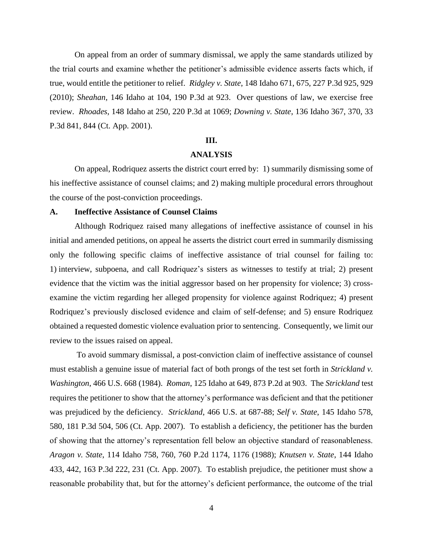On appeal from an order of summary dismissal, we apply the same standards utilized by the trial courts and examine whether the petitioner's admissible evidence asserts facts which, if true, would entitle the petitioner to relief. *Ridgley v. State*, 148 Idaho 671, 675, 227 P.3d 925, 929 (2010); *Sheahan*, 146 Idaho at 104, 190 P.3d at 923. Over questions of law, we exercise free review. *Rhoades*, 148 Idaho at 250, 220 P.3d at 1069; *Downing v. State*, 136 Idaho 367, 370, 33 P.3d 841, 844 (Ct. App. 2001).

### **III.**

#### **ANALYSIS**

On appeal, Rodriquez asserts the district court erred by: 1) summarily dismissing some of his ineffective assistance of counsel claims; and 2) making multiple procedural errors throughout the course of the post-conviction proceedings.

#### **A. Ineffective Assistance of Counsel Claims**

Although Rodriquez raised many allegations of ineffective assistance of counsel in his initial and amended petitions, on appeal he asserts the district court erred in summarily dismissing only the following specific claims of ineffective assistance of trial counsel for failing to: 1) interview, subpoena, and call Rodriquez's sisters as witnesses to testify at trial; 2) present evidence that the victim was the initial aggressor based on her propensity for violence; 3) crossexamine the victim regarding her alleged propensity for violence against Rodriquez; 4) present Rodriquez's previously disclosed evidence and claim of self-defense; and 5) ensure Rodriquez obtained a requested domestic violence evaluation prior to sentencing. Consequently, we limit our review to the issues raised on appeal.

To avoid summary dismissal, a post-conviction claim of ineffective assistance of counsel must establish a genuine issue of material fact of both prongs of the test set forth in *Strickland v. Washington*, 466 U.S. 668 (1984). *Roman*, 125 Idaho at 649, 873 P.2d at 903. The *Strickland* test requires the petitioner to show that the attorney's performance was deficient and that the petitioner was prejudiced by the deficiency. *Strickland*, 466 U.S. at 687-88; *Self v. State*, 145 Idaho 578, 580, 181 P.3d 504, 506 (Ct. App. 2007). To establish a deficiency, the petitioner has the burden of showing that the attorney's representation fell below an objective standard of reasonableness. *Aragon v. State*, 114 Idaho 758, 760, 760 P.2d 1174, 1176 (1988); *Knutsen v. State*, 144 Idaho 433, 442, 163 P.3d 222, 231 (Ct. App. 2007). To establish prejudice, the petitioner must show a reasonable probability that, but for the attorney's deficient performance, the outcome of the trial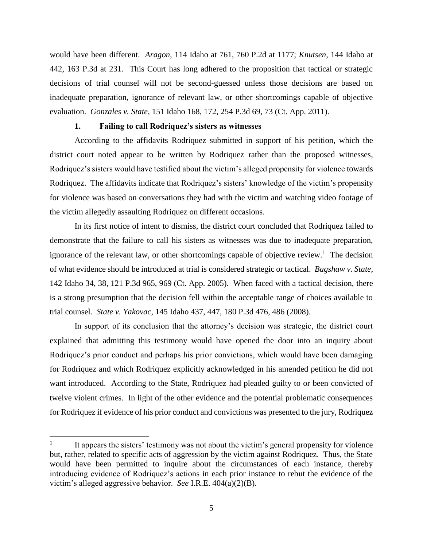would have been different. *Aragon*, 114 Idaho at 761, 760 P.2d at 1177; *Knutsen*, 144 Idaho at 442, 163 P.3d at 231. This Court has long adhered to the proposition that tactical or strategic decisions of trial counsel will not be second-guessed unless those decisions are based on inadequate preparation, ignorance of relevant law, or other shortcomings capable of objective evaluation. *Gonzales v. State*, 151 Idaho 168, 172, 254 P.3d 69, 73 (Ct. App. 2011).

#### **1. Failing to call Rodriquez's sisters as witnesses**

According to the affidavits Rodriquez submitted in support of his petition, which the district court noted appear to be written by Rodriquez rather than the proposed witnesses, Rodriquez's sisters would have testified about the victim's alleged propensity for violence towards Rodriquez. The affidavits indicate that Rodriquez's sisters' knowledge of the victim's propensity for violence was based on conversations they had with the victim and watching video footage of the victim allegedly assaulting Rodriquez on different occasions.

In its first notice of intent to dismiss, the district court concluded that Rodriquez failed to demonstrate that the failure to call his sisters as witnesses was due to inadequate preparation, ignorance of the relevant law, or other shortcomings capable of objective review.<sup>1</sup> The decision of what evidence should be introduced at trial is considered strategic or tactical. *Bagshaw v. State*, 142 Idaho 34, 38, 121 P.3d 965, 969 (Ct. App. 2005). When faced with a tactical decision, there is a strong presumption that the decision fell within the acceptable range of choices available to trial counsel. *State v. Yakovac*, 145 Idaho 437, 447, 180 P.3d 476, 486 (2008).

In support of its conclusion that the attorney's decision was strategic, the district court explained that admitting this testimony would have opened the door into an inquiry about Rodriquez's prior conduct and perhaps his prior convictions, which would have been damaging for Rodriquez and which Rodriquez explicitly acknowledged in his amended petition he did not want introduced. According to the State, Rodriquez had pleaded guilty to or been convicted of twelve violent crimes. In light of the other evidence and the potential problematic consequences for Rodriquez if evidence of his prior conduct and convictions was presented to the jury, Rodriquez

 $\overline{a}$ 

<sup>1</sup> It appears the sisters' testimony was not about the victim's general propensity for violence but, rather, related to specific acts of aggression by the victim against Rodriquez. Thus, the State would have been permitted to inquire about the circumstances of each instance, thereby introducing evidence of Rodriquez's actions in each prior instance to rebut the evidence of the victim's alleged aggressive behavior. *See* I.R.E. 404(a)(2)(B).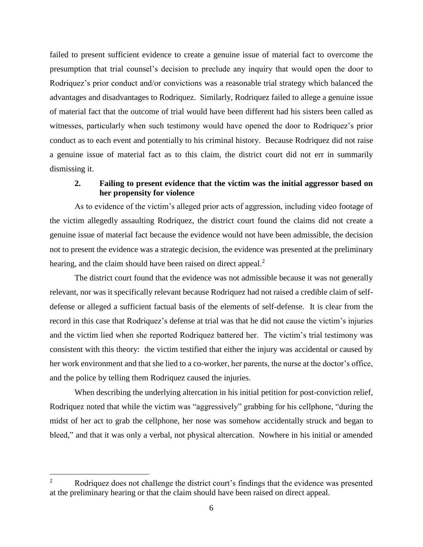failed to present sufficient evidence to create a genuine issue of material fact to overcome the presumption that trial counsel's decision to preclude any inquiry that would open the door to Rodriquez's prior conduct and/or convictions was a reasonable trial strategy which balanced the advantages and disadvantages to Rodriquez. Similarly, Rodriquez failed to allege a genuine issue of material fact that the outcome of trial would have been different had his sisters been called as witnesses, particularly when such testimony would have opened the door to Rodriquez's prior conduct as to each event and potentially to his criminal history. Because Rodriquez did not raise a genuine issue of material fact as to this claim, the district court did not err in summarily dismissing it.

# **2. Failing to present evidence that the victim was the initial aggressor based on her propensity for violence**

As to evidence of the victim's alleged prior acts of aggression, including video footage of the victim allegedly assaulting Rodriquez, the district court found the claims did not create a genuine issue of material fact because the evidence would not have been admissible, the decision not to present the evidence was a strategic decision, the evidence was presented at the preliminary hearing, and the claim should have been raised on direct appeal.<sup>2</sup>

The district court found that the evidence was not admissible because it was not generally relevant, nor was it specifically relevant because Rodriquez had not raised a credible claim of selfdefense or alleged a sufficient factual basis of the elements of self-defense. It is clear from the record in this case that Rodriquez's defense at trial was that he did not cause the victim's injuries and the victim lied when she reported Rodriquez battered her. The victim's trial testimony was consistent with this theory: the victim testified that either the injury was accidental or caused by her work environment and that she lied to a co-worker, her parents, the nurse at the doctor's office, and the police by telling them Rodriquez caused the injuries.

When describing the underlying altercation in his initial petition for post-conviction relief, Rodriquez noted that while the victim was "aggressively" grabbing for his cellphone, "during the midst of her act to grab the cellphone, her nose was somehow accidentally struck and began to bleed," and that it was only a verbal, not physical altercation. Nowhere in his initial or amended

 $\overline{a}$ 

Rodriquez does not challenge the district court's findings that the evidence was presented at the preliminary hearing or that the claim should have been raised on direct appeal.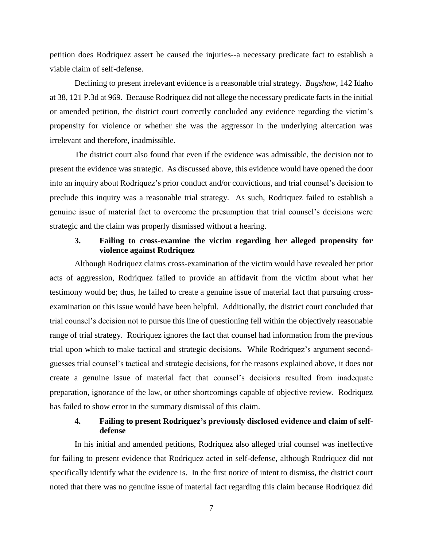petition does Rodriquez assert he caused the injuries--a necessary predicate fact to establish a viable claim of self-defense.

Declining to present irrelevant evidence is a reasonable trial strategy. *Bagshaw*, 142 Idaho at 38, 121 P.3d at 969. Because Rodriquez did not allege the necessary predicate facts in the initial or amended petition, the district court correctly concluded any evidence regarding the victim's propensity for violence or whether she was the aggressor in the underlying altercation was irrelevant and therefore, inadmissible.

The district court also found that even if the evidence was admissible, the decision not to present the evidence was strategic. As discussed above, this evidence would have opened the door into an inquiry about Rodriquez's prior conduct and/or convictions, and trial counsel's decision to preclude this inquiry was a reasonable trial strategy. As such, Rodriquez failed to establish a genuine issue of material fact to overcome the presumption that trial counsel's decisions were strategic and the claim was properly dismissed without a hearing.

## **3. Failing to cross-examine the victim regarding her alleged propensity for violence against Rodriquez**

Although Rodriquez claims cross-examination of the victim would have revealed her prior acts of aggression, Rodriquez failed to provide an affidavit from the victim about what her testimony would be; thus, he failed to create a genuine issue of material fact that pursuing crossexamination on this issue would have been helpful. Additionally, the district court concluded that trial counsel's decision not to pursue this line of questioning fell within the objectively reasonable range of trial strategy. Rodriquez ignores the fact that counsel had information from the previous trial upon which to make tactical and strategic decisions. While Rodriquez's argument secondguesses trial counsel's tactical and strategic decisions, for the reasons explained above, it does not create a genuine issue of material fact that counsel's decisions resulted from inadequate preparation, ignorance of the law, or other shortcomings capable of objective review. Rodriquez has failed to show error in the summary dismissal of this claim.

## **4. Failing to present Rodriquez's previously disclosed evidence and claim of selfdefense**

In his initial and amended petitions, Rodriquez also alleged trial counsel was ineffective for failing to present evidence that Rodriquez acted in self-defense, although Rodriquez did not specifically identify what the evidence is. In the first notice of intent to dismiss, the district court noted that there was no genuine issue of material fact regarding this claim because Rodriquez did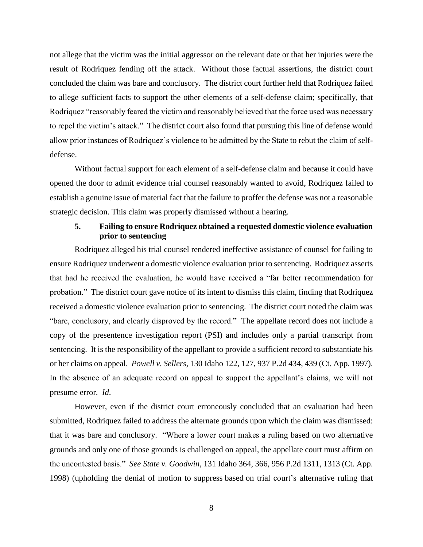not allege that the victim was the initial aggressor on the relevant date or that her injuries were the result of Rodriquez fending off the attack. Without those factual assertions, the district court concluded the claim was bare and conclusory. The district court further held that Rodriquez failed to allege sufficient facts to support the other elements of a self-defense claim; specifically, that Rodriquez "reasonably feared the victim and reasonably believed that the force used was necessary to repel the victim's attack." The district court also found that pursuing this line of defense would allow prior instances of Rodriquez's violence to be admitted by the State to rebut the claim of selfdefense.

Without factual support for each element of a self-defense claim and because it could have opened the door to admit evidence trial counsel reasonably wanted to avoid, Rodriquez failed to establish a genuine issue of material fact that the failure to proffer the defense was not a reasonable strategic decision. This claim was properly dismissed without a hearing.

## **5. Failing to ensure Rodriquez obtained a requested domestic violence evaluation prior to sentencing**

Rodriquez alleged his trial counsel rendered ineffective assistance of counsel for failing to ensure Rodriquez underwent a domestic violence evaluation prior to sentencing. Rodriquez asserts that had he received the evaluation, he would have received a "far better recommendation for probation." The district court gave notice of its intent to dismiss this claim, finding that Rodriquez received a domestic violence evaluation prior to sentencing. The district court noted the claim was "bare, conclusory, and clearly disproved by the record." The appellate record does not include a copy of the presentence investigation report (PSI) and includes only a partial transcript from sentencing. It is the responsibility of the appellant to provide a sufficient record to substantiate his or her claims on appeal. *Powell v. Sellers*, 130 Idaho 122, 127, 937 P.2d 434, 439 (Ct. App. 1997). In the absence of an adequate record on appeal to support the appellant's claims, we will not presume error. *Id*.

However, even if the district court erroneously concluded that an evaluation had been submitted, Rodriquez failed to address the alternate grounds upon which the claim was dismissed: that it was bare and conclusory. "Where a lower court makes a ruling based on two alternative grounds and only one of those grounds is challenged on appeal, the appellate court must affirm on the uncontested basis." *See State v. Goodwin*, 131 Idaho 364, 366, 956 P.2d 1311, 1313 (Ct. App. 1998) (upholding the denial of motion to suppress based on trial court's alternative ruling that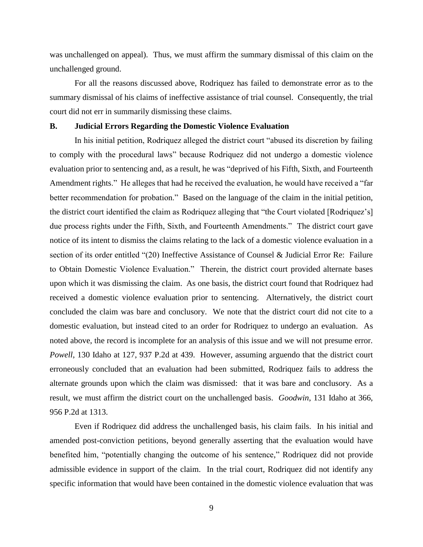was unchallenged on appeal). Thus, we must affirm the summary dismissal of this claim on the unchallenged ground.

For all the reasons discussed above, Rodriquez has failed to demonstrate error as to the summary dismissal of his claims of ineffective assistance of trial counsel. Consequently, the trial court did not err in summarily dismissing these claims.

### **B. Judicial Errors Regarding the Domestic Violence Evaluation**

In his initial petition, Rodriquez alleged the district court "abused its discretion by failing to comply with the procedural laws" because Rodriquez did not undergo a domestic violence evaluation prior to sentencing and, as a result, he was "deprived of his Fifth, Sixth, and Fourteenth Amendment rights." He alleges that had he received the evaluation, he would have received a "far better recommendation for probation." Based on the language of the claim in the initial petition, the district court identified the claim as Rodriquez alleging that "the Court violated [Rodriquez's] due process rights under the Fifth, Sixth, and Fourteenth Amendments." The district court gave notice of its intent to dismiss the claims relating to the lack of a domestic violence evaluation in a section of its order entitled "(20) Ineffective Assistance of Counsel & Judicial Error Re: Failure to Obtain Domestic Violence Evaluation." Therein, the district court provided alternate bases upon which it was dismissing the claim. As one basis, the district court found that Rodriquez had received a domestic violence evaluation prior to sentencing. Alternatively, the district court concluded the claim was bare and conclusory. We note that the district court did not cite to a domestic evaluation, but instead cited to an order for Rodriquez to undergo an evaluation. As noted above, the record is incomplete for an analysis of this issue and we will not presume error. *Powell*, 130 Idaho at 127, 937 P.2d at 439. However, assuming arguendo that the district court erroneously concluded that an evaluation had been submitted, Rodriquez fails to address the alternate grounds upon which the claim was dismissed: that it was bare and conclusory. As a result, we must affirm the district court on the unchallenged basis. *Goodwin*, 131 Idaho at 366, 956 P.2d at 1313.

Even if Rodriquez did address the unchallenged basis, his claim fails. In his initial and amended post-conviction petitions, beyond generally asserting that the evaluation would have benefited him, "potentially changing the outcome of his sentence," Rodriquez did not provide admissible evidence in support of the claim. In the trial court, Rodriquez did not identify any specific information that would have been contained in the domestic violence evaluation that was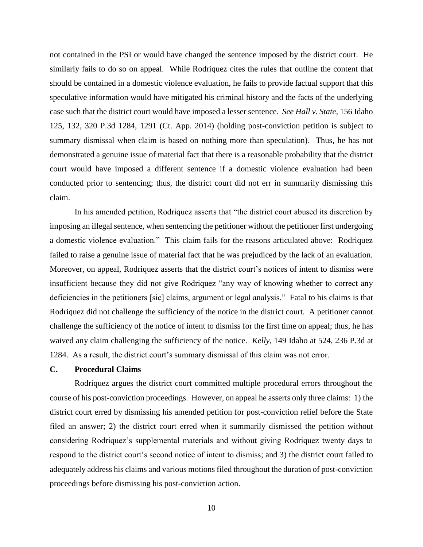not contained in the PSI or would have changed the sentence imposed by the district court. He similarly fails to do so on appeal. While Rodriquez cites the rules that outline the content that should be contained in a domestic violence evaluation, he fails to provide factual support that this speculative information would have mitigated his criminal history and the facts of the underlying case such that the district court would have imposed a lesser sentence. *See Hall v. State*, 156 Idaho 125, 132, 320 P.3d 1284, 1291 (Ct. App. 2014) (holding post-conviction petition is subject to summary dismissal when claim is based on nothing more than speculation). Thus, he has not demonstrated a genuine issue of material fact that there is a reasonable probability that the district court would have imposed a different sentence if a domestic violence evaluation had been conducted prior to sentencing; thus, the district court did not err in summarily dismissing this claim.

In his amended petition, Rodriquez asserts that "the district court abused its discretion by imposing an illegal sentence, when sentencing the petitioner without the petitioner first undergoing a domestic violence evaluation." This claim fails for the reasons articulated above: Rodriquez failed to raise a genuine issue of material fact that he was prejudiced by the lack of an evaluation. Moreover, on appeal, Rodriquez asserts that the district court's notices of intent to dismiss were insufficient because they did not give Rodriquez "any way of knowing whether to correct any deficiencies in the petitioners [sic] claims, argument or legal analysis." Fatal to his claims is that Rodriquez did not challenge the sufficiency of the notice in the district court. A petitioner cannot challenge the sufficiency of the notice of intent to dismiss for the first time on appeal; thus, he has waived any claim challenging the sufficiency of the notice. *Kelly*, 149 Idaho at 524, 236 P.3d at 1284. As a result, the district court's summary dismissal of this claim was not error.

## **C. Procedural Claims**

Rodriquez argues the district court committed multiple procedural errors throughout the course of his post-conviction proceedings. However, on appeal he asserts only three claims: 1) the district court erred by dismissing his amended petition for post-conviction relief before the State filed an answer; 2) the district court erred when it summarily dismissed the petition without considering Rodriquez's supplemental materials and without giving Rodriquez twenty days to respond to the district court's second notice of intent to dismiss; and 3) the district court failed to adequately address his claims and various motions filed throughout the duration of post-conviction proceedings before dismissing his post-conviction action.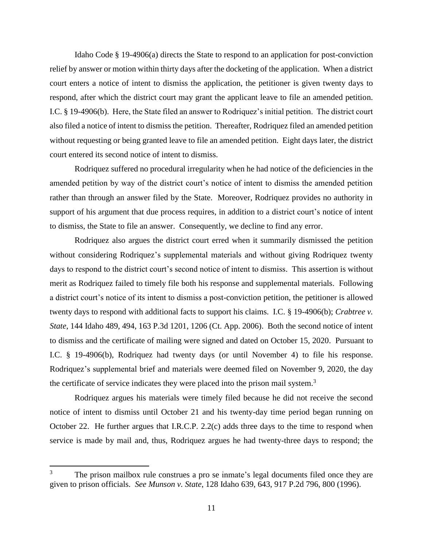Idaho Code § 19-4906(a) directs the State to respond to an application for post-conviction relief by answer or motion within thirty days after the docketing of the application. When a district court enters a notice of intent to dismiss the application, the petitioner is given twenty days to respond, after which the district court may grant the applicant leave to file an amended petition. I.C. § 19-4906(b). Here, the State filed an answer to Rodriquez's initial petition. The district court also filed a notice of intent to dismiss the petition. Thereafter, Rodriquez filed an amended petition without requesting or being granted leave to file an amended petition. Eight days later, the district court entered its second notice of intent to dismiss.

Rodriquez suffered no procedural irregularity when he had notice of the deficiencies in the amended petition by way of the district court's notice of intent to dismiss the amended petition rather than through an answer filed by the State. Moreover, Rodriquez provides no authority in support of his argument that due process requires, in addition to a district court's notice of intent to dismiss, the State to file an answer. Consequently, we decline to find any error.

Rodriquez also argues the district court erred when it summarily dismissed the petition without considering Rodriquez's supplemental materials and without giving Rodriquez twenty days to respond to the district court's second notice of intent to dismiss. This assertion is without merit as Rodriquez failed to timely file both his response and supplemental materials. Following a district court's notice of its intent to dismiss a post-conviction petition, the petitioner is allowed twenty days to respond with additional facts to support his claims. I.C. § 19-4906(b); *Crabtree v. State*, 144 Idaho 489, 494, 163 P.3d 1201, 1206 (Ct. App. 2006). Both the second notice of intent to dismiss and the certificate of mailing were signed and dated on October 15, 2020. Pursuant to I.C. § 19-4906(b), Rodriquez had twenty days (or until November 4) to file his response. Rodriquez's supplemental brief and materials were deemed filed on November 9, 2020, the day the certificate of service indicates they were placed into the prison mail system.<sup>3</sup>

Rodriquez argues his materials were timely filed because he did not receive the second notice of intent to dismiss until October 21 and his twenty-day time period began running on October 22. He further argues that I.R.C.P. 2.2(c) adds three days to the time to respond when service is made by mail and, thus, Rodriquez argues he had twenty-three days to respond; the

 $\overline{a}$ 

<sup>&</sup>lt;sup>3</sup> The prison mailbox rule construes a pro se inmate's legal documents filed once they are given to prison officials. *See Munson v. State*, 128 Idaho 639, 643, 917 P.2d 796, 800 (1996).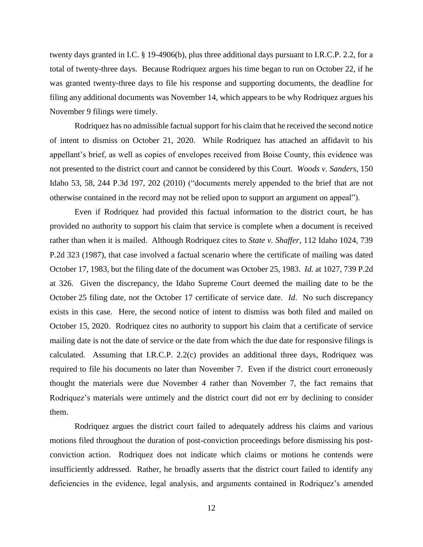twenty days granted in I.C. § 19-4906(b), plus three additional days pursuant to I.R.C.P. 2.2, for a total of twenty-three days. Because Rodriquez argues his time began to run on October 22, if he was granted twenty-three days to file his response and supporting documents, the deadline for filing any additional documents was November 14, which appears to be why Rodriquez argues his November 9 filings were timely.

Rodriquez has no admissible factual support for his claim that he received the second notice of intent to dismiss on October 21, 2020. While Rodriquez has attached an affidavit to his appellant's brief, as well as copies of envelopes received from Boise County, this evidence was not presented to the district court and cannot be considered by this Court. *Woods v. Sanders*, 150 Idaho 53, 58, 244 P.3d 197, 202 (2010) ("documents merely appended to the brief that are not otherwise contained in the record may not be relied upon to support an argument on appeal").

Even if Rodriquez had provided this factual information to the district court, he has provided no authority to support his claim that service is complete when a document is received rather than when it is mailed. Although Rodriquez cites to *State v. Shaffer*, 112 Idaho 1024, 739 P.2d 323 (1987), that case involved a factual scenario where the certificate of mailing was dated October 17, 1983, but the filing date of the document was October 25, 1983. *Id.* at 1027, 739 P.2d at 326. Given the discrepancy, the Idaho Supreme Court deemed the mailing date to be the October 25 filing date, not the October 17 certificate of service date. *Id*. No such discrepancy exists in this case. Here, the second notice of intent to dismiss was both filed and mailed on October 15, 2020. Rodriquez cites no authority to support his claim that a certificate of service mailing date is not the date of service or the date from which the due date for responsive filings is calculated. Assuming that I.R.C.P. 2.2(c) provides an additional three days, Rodriquez was required to file his documents no later than November 7. Even if the district court erroneously thought the materials were due November 4 rather than November 7, the fact remains that Rodriquez's materials were untimely and the district court did not err by declining to consider them.

Rodriquez argues the district court failed to adequately address his claims and various motions filed throughout the duration of post-conviction proceedings before dismissing his postconviction action. Rodriquez does not indicate which claims or motions he contends were insufficiently addressed. Rather, he broadly asserts that the district court failed to identify any deficiencies in the evidence, legal analysis, and arguments contained in Rodriquez's amended